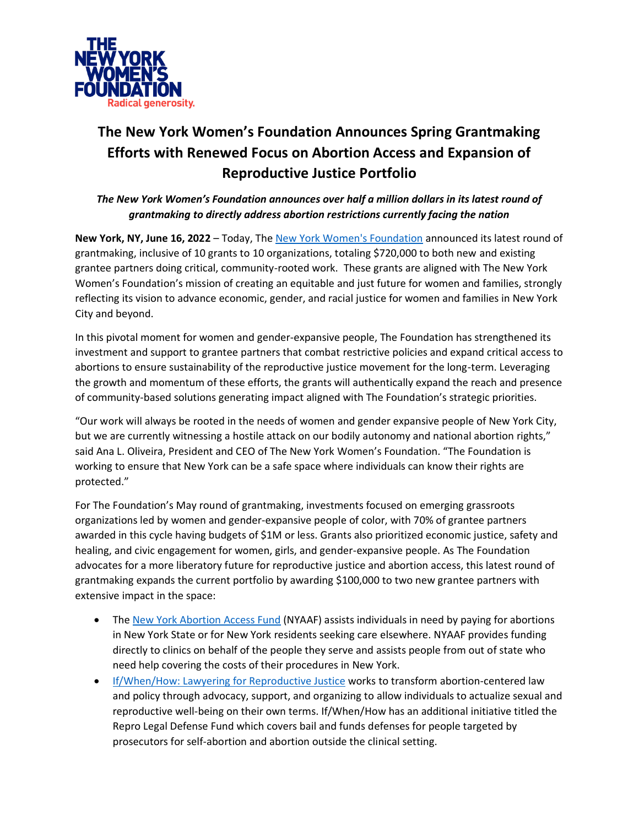

## **The New York Women's Foundation Announces Spring Grantmaking Efforts with Renewed Focus on Abortion Access and Expansion of Reproductive Justice Portfolio**

*The New York Women's Foundation announces over half a million dollars in its latest round of grantmaking to directly address abortion restrictions currently facing the nation*

**New York, NY, June 16, 2022** – Today, The [New York Women's Foundation](https://www.nywf.org/) announced its latest round of grantmaking, inclusive of 10 grants to 10 organizations, totaling \$720,000 to both new and existing grantee partners doing critical, community-rooted work. These grants are aligned with The New York Women's Foundation's mission of creating an equitable and just future for women and families, strongly reflecting its vision to advance economic, gender, and racial justice for women and families in New York City and beyond.

In this pivotal moment for women and gender-expansive people, The Foundation has strengthened its investment and support to grantee partners that combat restrictive policies and expand critical access to abortions to ensure sustainability of the reproductive justice movement for the long-term. Leveraging the growth and momentum of these efforts, the grants will authentically expand the reach and presence of community-based solutions generating impact aligned with The Foundation's strategic priorities.

"Our work will always be rooted in the needs of women and gender expansive people of New York City, but we are currently witnessing a hostile attack on our bodily autonomy and national abortion rights," said Ana L. Oliveira, President and CEO of The New York Women's Foundation. "The Foundation is working to ensure that New York can be a safe space where individuals can know their rights are protected."

For The Foundation's May round of grantmaking, investments focused on emerging grassroots organizations led by women and gender-expansive people of color, with 70% of grantee partners awarded in this cycle having budgets of \$1M or less. Grants also prioritized economic justice, safety and healing, and civic engagement for women, girls, and gender-expansive people. As The Foundation advocates for a more liberatory future for reproductive justice and abortion access, this latest round of grantmaking expands the current portfolio by awarding \$100,000 to two new grantee partners with extensive impact in the space:

- The [New York Abortion Access Fund](https://www.nyaaf.org/) (NYAAF) assists individuals in need by paying for abortions in New York State or for New York residents seeking care elsewhere. NYAAF provides funding directly to clinics on behalf of the people they serve and assists people from out of state who need help covering the costs of their procedures in New York.
- [If/When/How: Lawyering for Reproductive Justice](https://www.ifwhenhow.org/) works to transform abortion-centered law and policy through advocacy, support, and organizing to allow individuals to actualize sexual and reproductive well-being on their own terms. If/When/How has an additional initiative titled the Repro Legal Defense Fund which covers bail and funds defenses for people targeted by prosecutors for self-abortion and abortion outside the clinical setting.